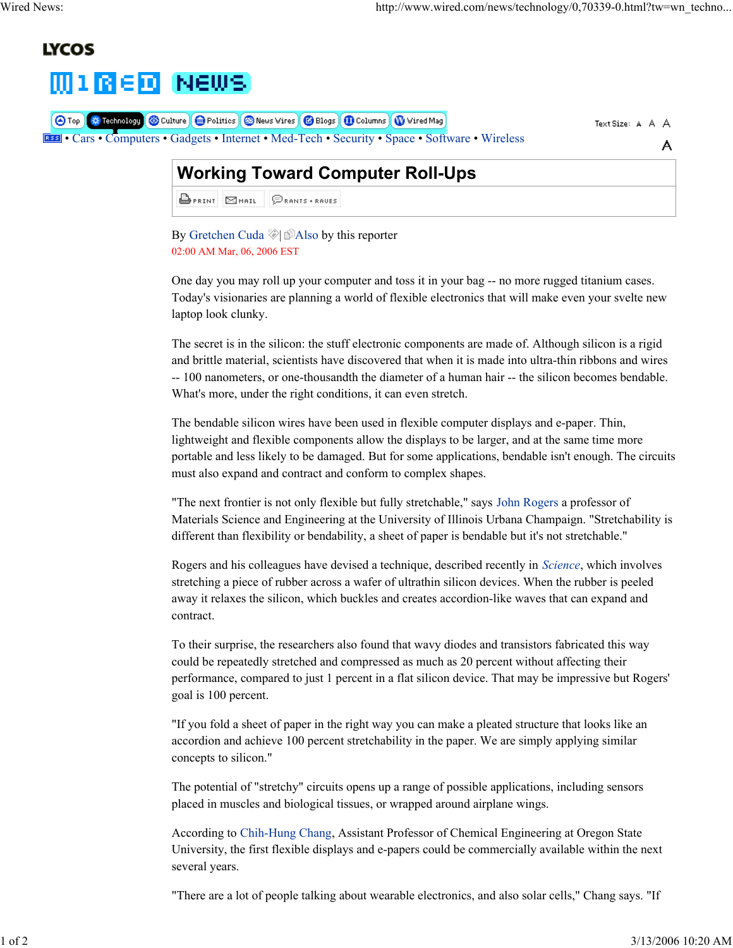A

# **LYCOS**



| <b>O</b> Top <b>3</b> Technology Culture <b>C</b> Politics <b>C</b> News Vires <b>C</b> Blogs <b>(D</b> Columns <b>(W</b> Vired Mag) | Text Size: A A A |
|--------------------------------------------------------------------------------------------------------------------------------------|------------------|
| <b>EEE</b> • Cars • Computers • Gadgets • Internet • Med-Tech • Security • Space • Software • Wireless                               |                  |

# **Working Toward Computer Roll-Ups**

**BPRINT SMAIL PRANTS + RAUES** 

By Gretchen Cuda  $\Diamond$  Also by this reporter 02:00 AM Mar, 06, 2006 EST

One day you may roll up your computer and toss it in your bag -- no more rugged titanium cases. Today's visionaries are planning a world of flexible electronics that will make even your svelte new laptop look clunky.

The secret is in the silicon: the stuff electronic components are made of. Although silicon is a rigid and brittle material, scientists have discovered that when it is made into ultra-thin ribbons and wires -- 100 nanometers, or one-thousandth the diameter of a human hair -- the silicon becomes bendable. What's more, under the right conditions, it can even stretch.

The bendable silicon wires have been used in flexible computer displays and e-paper. Thin, lightweight and flexible components allow the displays to be larger, and at the same time more portable and less likely to be damaged. But for some applications, bendable isn't enough. The circuits must also expand and contract and conform to complex shapes.

"The next frontier is not only flexible but fully stretchable," says John Rogers a professor of Materials Science and Engineering at the University of Illinois Urbana Champaign. "Stretchability is different than flexibility or bendability, a sheet of paper is bendable but it's not stretchable."

Rogers and his colleagues have devised a technique, described recently in *Science*, which involves stretching a piece of rubber across a wafer of ultrathin silicon devices. When the rubber is peeled away it relaxes the silicon, which buckles and creates accordion-like waves that can expand and contract.

To their surprise, the researchers also found that wavy diodes and transistors fabricated this way could be repeatedly stretched and compressed as much as 20 percent without affecting their performance, compared to just 1 percent in a flat silicon device. That may be impressive but Rogers' goal is 100 percent.

"If you fold a sheet of paper in the right way you can make a pleated structure that looks like an accordion and achieve 100 percent stretchability in the paper. We are simply applying similar concepts to silicon."

The potential of "stretchy" circuits opens up a range of possible applications, including sensors placed in muscles and biological tissues, or wrapped around airplane wings.

According to Chih-Hung Chang, Assistant Professor of Chemical Engineering at Oregon State University, the first flexible displays and e-papers could be commercially available within the next several years.

"There are a lot of people talking about wearable electronics, and also solar cells," Chang says. "If